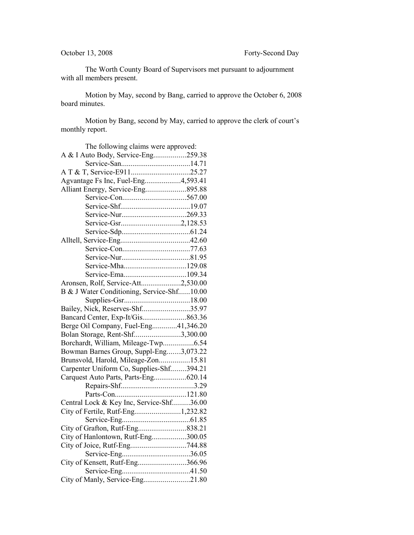The Worth County Board of Supervisors met pursuant to adjournment with all members present.

Motion by May, second by Bang, carried to approve the October 6, 2008 board minutes.

Motion by Bang, second by May, carried to approve the clerk of court's monthly report.

| The following claims were approved:        |  |
|--------------------------------------------|--|
| A & I Auto Body, Service-Eng259.38         |  |
|                                            |  |
|                                            |  |
| Agvantage Fs Inc, Fuel-Eng4,593.41         |  |
| Alliant Energy, Service-Eng895.88          |  |
|                                            |  |
|                                            |  |
|                                            |  |
|                                            |  |
|                                            |  |
|                                            |  |
|                                            |  |
|                                            |  |
| Service-Mha129.08                          |  |
|                                            |  |
| Aronsen, Rolf, Service-Att2,530.00         |  |
| B & J Water Conditioning, Service-Shf10.00 |  |
|                                            |  |
| Bailey, Nick, Reserves-Shf35.97            |  |
|                                            |  |
| Berge Oil Company, Fuel-Eng41,346.20       |  |
| Bolan Storage, Rent-Shf3,300.00            |  |
| Borchardt, William, Mileage-Twp6.54        |  |
| Bowman Barnes Group, Suppl-Eng3,073.22     |  |
| Brunsvold, Harold, Mileage-Zon15.81        |  |
| Carpenter Uniform Co, Supplies-Shf394.21   |  |
| Carquest Auto Parts, Parts-Eng620.14       |  |
|                                            |  |
|                                            |  |
| Central Lock & Key Inc, Service-Shf36.00   |  |
| City of Fertile, Rutf-Eng1,232.82          |  |
|                                            |  |
|                                            |  |
| City of Hanlontown, Rutf-Eng300.05         |  |
|                                            |  |
|                                            |  |
| City of Kensett, Rutf-Eng366.96            |  |
|                                            |  |
| City of Manly, Service-Eng21.80            |  |
|                                            |  |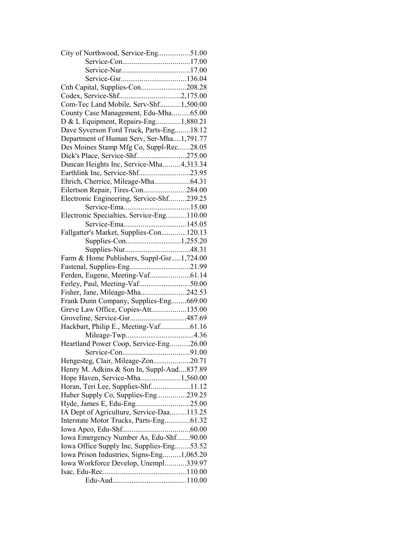| City of Northwood, Service-Eng51.00       |  |
|-------------------------------------------|--|
|                                           |  |
|                                           |  |
|                                           |  |
| Cnh Capital, Supplies-Con208.28           |  |
|                                           |  |
| Com-Tec Land Mobile, Serv-Shf1,500.00     |  |
| County Case Management, Edu-Mha65.00      |  |
| D & L Equipment, Repairs-Eng1,880.21      |  |
| Dave Syverson Ford Truck, Parts-Eng18.12  |  |
| Department of Human Serv, Ser-Mha1,791.77 |  |
| Des Moines Stamp Mfg Co, Suppl-Rec28.05   |  |
|                                           |  |
| Duncan Heights Inc, Service-Mha4,313.34   |  |
|                                           |  |
| Ehrich, Cherrice, Mileage-Mha64.31        |  |
| Eilertson Repair, Tires-Con284.00         |  |
| Electronic Engineering, Service-Shf239.25 |  |
|                                           |  |
| Electronic Specialties, Service-Eng110.00 |  |
|                                           |  |
| Fallgatter's Market, Supplies-Con120.13   |  |
|                                           |  |
|                                           |  |
| Farm & Home Publishers, Suppl-Gsr1,724.00 |  |
| Fastenal, Supplies-Eng21.99               |  |
| Ferden, Eugene, Meeting-Vaf61.14          |  |
| Ferley, Paul, Meeting-Vaf50.00            |  |
| Fisher, Jane, Mileage-Mha242.53           |  |
|                                           |  |
| Frank Dunn Company, Supplies-Eng669.00    |  |
| Greve Law Office, Copies-Att135.00        |  |
|                                           |  |
| Hackbart, Philip E., Meeting-Vaf61.16     |  |
|                                           |  |
| Heartland Power Coop, Service-Eng26.00    |  |
|                                           |  |
| Hengesteg, Clair, Mileage-Zon20.71        |  |
| Henry M. Adkins & Son In, Suppl-Aud837.89 |  |
| Hope Haven, Service-Mha1,560.00           |  |
| Horan, Teri Lee, Supplies-Shf11.12        |  |
| Huber Supply Co, Supplies-Eng239.25       |  |
|                                           |  |
| IA Dept of Agriculture, Service-Daa113.25 |  |
| Interstate Motor Trucks, Parts-Eng61.32   |  |
|                                           |  |
| Iowa Emergency Number As, Edu-Shf90.00    |  |
| Iowa Office Supply Inc, Supplies-Eng53.52 |  |
| Iowa Prison Industries, Signs-Eng1,065.20 |  |
| Iowa Workforce Develop, Unempl339.97      |  |
|                                           |  |
|                                           |  |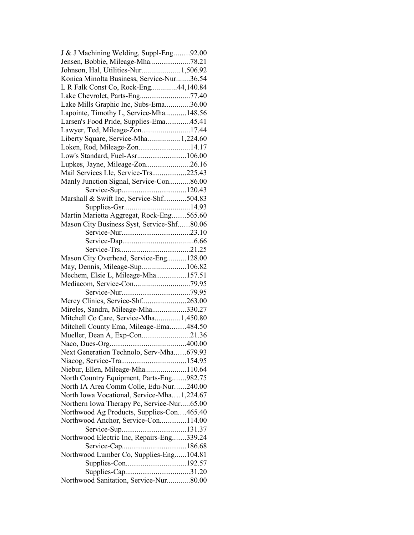| J & J Machining Welding, Suppl-Eng92.00    |  |
|--------------------------------------------|--|
| Jensen, Bobbie, Mileage-Mha78.21           |  |
| Johnson, Hal, Utilities-Nur1,506.92        |  |
| Konica Minolta Business, Service-Nur36.54  |  |
| L R Falk Const Co, Rock-Eng44,140.84       |  |
|                                            |  |
| Lake Mills Graphic Inc, Subs-Ema36.00      |  |
| Lapointe, Timothy L, Service-Mha148.56     |  |
| Larsen's Food Pride, Supplies-Ema45.41     |  |
| Lawyer, Ted, Mileage-Zon17.44              |  |
| Liberty Square, Service-Mha1,224.60        |  |
| Loken, Rod, Mileage-Zon14.17               |  |
| Low's Standard, Fuel-Asr106.00             |  |
|                                            |  |
| Lupkes, Jayne, Mileage-Zon26.16            |  |
| Mail Services Llc, Service-Trs225.43       |  |
| Manly Junction Signal, Service-Con86.00    |  |
|                                            |  |
| Marshall & Swift Inc, Service-Shf504.83    |  |
|                                            |  |
| Martin Marietta Aggregat, Rock-Eng565.60   |  |
| Mason City Business Syst, Service-Shf80.06 |  |
|                                            |  |
|                                            |  |
|                                            |  |
| Mason City Overhead, Service-Eng128.00     |  |
|                                            |  |
| Mechem, Elsie L, Mileage-Mha157.51         |  |
|                                            |  |
|                                            |  |
| Mercy Clinics, Service-Shf263.00           |  |
| Mireles, Sandra, Mileage-Mha330.27         |  |
|                                            |  |
| Mitchell Co Care, Service-Mha1,450.80      |  |
| Mitchell County Ema, Mileage-Ema484.50     |  |
| Mueller, Dean A, Exp-Con21.36              |  |
|                                            |  |
| Next Generation Technolo, Serv-Mha679.93   |  |
|                                            |  |
| Niebur, Ellen, Mileage-Mha110.64           |  |
| North Country Equipment, Parts-Eng982.75   |  |
| North IA Area Comm Colle, Edu-Nur240.00    |  |
| North Iowa Vocational, Service-Mha1,224.67 |  |
| Northern Iowa Therapy Pc, Service-Nur65.00 |  |
| Northwood Ag Products, Supplies-Con465.40  |  |
| Northwood Anchor, Service-Con114.00        |  |
|                                            |  |
| Northwood Electric Inc, Repairs-Eng339.24  |  |
|                                            |  |
| Northwood Lumber Co, Supplies-Eng104.81    |  |
|                                            |  |
|                                            |  |
|                                            |  |
| Northwood Sanitation, Service-Nur80.00     |  |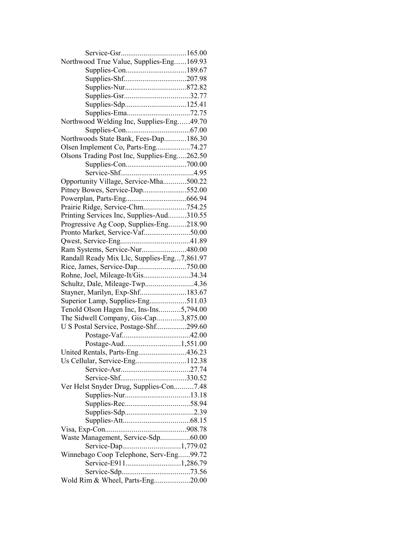| Northwood True Value, Supplies-Eng169.93    |  |
|---------------------------------------------|--|
|                                             |  |
|                                             |  |
|                                             |  |
|                                             |  |
|                                             |  |
|                                             |  |
| Northwood Welding Inc, Supplies-Eng49.70    |  |
|                                             |  |
| Northwoods State Bank, Fees-Dap186.30       |  |
| Olsen Implement Co, Parts-Eng74.27          |  |
| Olsons Trading Post Inc, Supplies-Eng262.50 |  |
|                                             |  |
|                                             |  |
| Opportunity Village, Service-Mha500.22      |  |
| Pitney Bowes, Service-Dap552.00             |  |
|                                             |  |
| Prairie Ridge, Service-Chm754.25            |  |
|                                             |  |
| Printing Services Inc, Supplies-Aud310.55   |  |
| Progressive Ag Coop, Supplies-Eng218.90     |  |
| Pronto Market, Service-Vaf50.00             |  |
|                                             |  |
| Ram Systems, Service-Nur480.00              |  |
| Randall Ready Mix Llc, Supplies-Eng7,861.97 |  |
| Rice, James, Service-Dap750.00              |  |
| Rohne, Joel, Mileage-It/Gis34.34            |  |
| Schultz, Dale, Mileage-Twp4.36              |  |
| Stayner, Marilyn, Exp-Shf183.67             |  |
| Superior Lamp, Supplies-Eng511.03           |  |
| Tenold Olson Hagen Inc, Ins-Ins5,794.00     |  |
| The Sidwell Company, Gis-Cap3,875.00        |  |
| U S Postal Service, Postage-Shf299.60       |  |
|                                             |  |
|                                             |  |
| United Rentals, Parts-Eng436.23             |  |
| Us Cellular, Service-Eng112.38              |  |
|                                             |  |
|                                             |  |
| Ver Helst Snyder Drug, Supplies-Con7.48     |  |
|                                             |  |
|                                             |  |
|                                             |  |
|                                             |  |
|                                             |  |
| Waste Management, Service-Sdp60.00          |  |
| Service-Dap1,779.02                         |  |
| Winnebago Coop Telephone, Serv-Eng99.72     |  |
| Service-E9111,286.79                        |  |
|                                             |  |
| Wold Rim & Wheel, Parts-Eng20.00            |  |
|                                             |  |